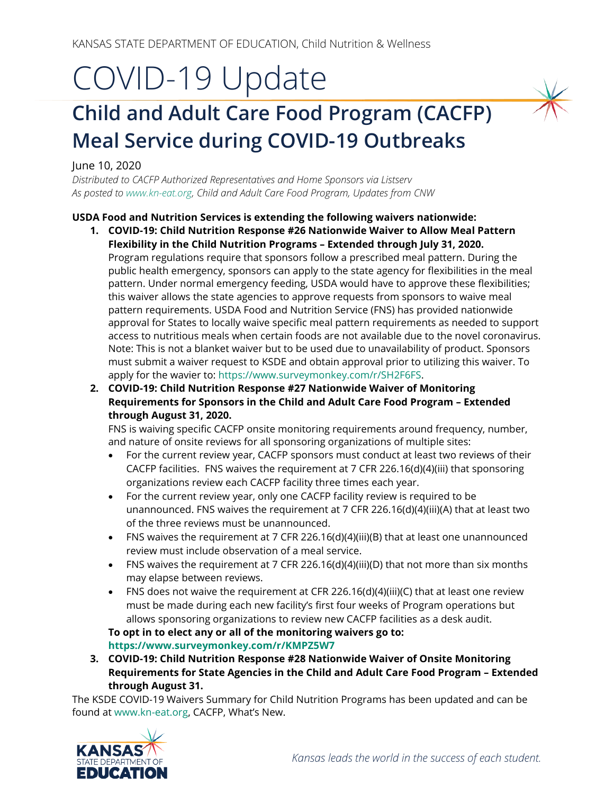# COVID-19 Update

# **Child and Adult Care Food Program (CACFP) Meal Service during COVID-19 Outbreaks**

June 10, 2020

*Distributed to CACFP Authorized Representatives and Home Sponsors via Listserv As posted t[o www.kn-eat.org,](http://www.kn-eat.org/) Child and Adult Care Food Program, Updates from CNW*

## **USDA Food and Nutrition Services is extending the following waivers nationwide:**

- **1. COVID-19: Child Nutrition Response #26 Nationwide Waiver to Allow Meal Pattern Flexibility in the Child Nutrition Programs – Extended through July 31, 2020.** Program regulations require that sponsors follow a prescribed meal pattern. During the public health emergency, sponsors can apply to the state agency for flexibilities in the meal pattern. Under normal emergency feeding, USDA would have to approve these flexibilities; this waiver allows the state agencies to approve requests from sponsors to waive meal pattern requirements. USDA Food and Nutrition Service (FNS) has provided nationwide approval for States to locally waive specific meal pattern requirements as needed to support access to nutritious meals when certain foods are not available due to the novel coronavirus. Note: This is not a blanket waiver but to be used due to unavailability of product. Sponsors must submit a waiver request to KSDE and obtain approval prior to utilizing this waiver. To apply for the wavier to: [https://www.surveymonkey.com/r/SH2F6FS.](https://www.surveymonkey.com/r/SH2F6FS)
- **2. COVID-19: Child Nutrition Response #27 Nationwide Waiver of Monitoring Requirements for Sponsors in the Child and Adult Care Food Program – Extended through August 31, 2020.**

FNS is waiving specific CACFP onsite monitoring requirements around frequency, number, and nature of onsite reviews for all sponsoring organizations of multiple sites:

- For the current review year, CACFP sponsors must conduct at least two reviews of their CACFP facilities. FNS waives the requirement at 7 CFR 226.16(d)(4)(iii) that sponsoring organizations review each CACFP facility three times each year.
- For the current review year, only one CACFP facility review is required to be unannounced. FNS waives the requirement at 7 CFR 226.16(d)(4)(iii)(A) that at least two of the three reviews must be unannounced.
- FNS waives the requirement at 7 CFR 226.16(d)(4)(iii)(B) that at least one unannounced review must include observation of a meal service.
- FNS waives the requirement at 7 CFR 226.16(d)(4)(iii)(D) that not more than six months may elapse between reviews.
- FNS does not waive the requirement at CFR 226.16(d)(4)(iii)(C) that at least one review must be made during each new facility's first four weeks of Program operations but allows sponsoring organizations to review new CACFP facilities as a desk audit.

**To opt in to elect any or all of the monitoring waivers go to: <https://www.surveymonkey.com/r/KMPZ5W7>**

**3. COVID-19: Child Nutrition Response #28 Nationwide Waiver of Onsite Monitoring Requirements for State Agencies in the Child and Adult Care Food Program – Extended through August 31.**

The KSDE COVID-19 Waivers Summary for Child Nutrition Programs has been updated and can be found at [www.kn-eat.org,](http://www.kn-eat.org/) CACFP, What's New.